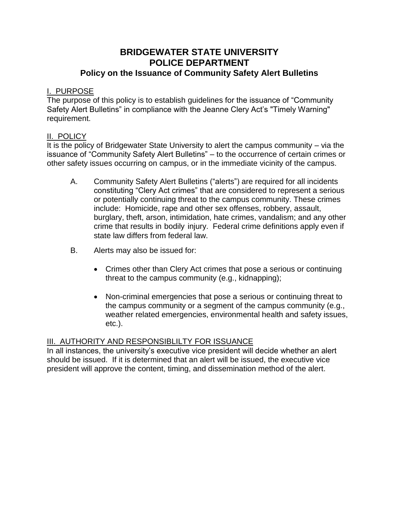# **BRIDGEWATER STATE UNIVERSITY POLICE DEPARTMENT Policy on the Issuance of Community Safety Alert Bulletins**

### I. PURPOSE

The purpose of this policy is to establish guidelines for the issuance of "Community Safety Alert Bulletins" in compliance with the Jeanne Clery Act's "Timely Warning" requirement.

### II. POLICY

It is the policy of Bridgewater State University to alert the campus community – via the issuance of "Community Safety Alert Bulletins" – to the occurrence of certain crimes or other safety issues occurring on campus, or in the immediate vicinity of the campus.

- A. Community Safety Alert Bulletins ("alerts") are required for all incidents constituting "Clery Act crimes" that are considered to represent a serious or potentially continuing threat to the campus community. These crimes include: Homicide, rape and other sex offenses, robbery, assault, burglary, theft, arson, intimidation, hate crimes, vandalism; and any other crime that results in bodily injury. Federal crime definitions apply even if state law differs from federal law.
- B. Alerts may also be issued for:
	- Crimes other than Clery Act crimes that pose a serious or continuing threat to the campus community (e.g., kidnapping);
	- Non-criminal emergencies that pose a serious or continuing threat to the campus community or a segment of the campus community (e.g., weather related emergencies, environmental health and safety issues, etc.).

## III. AUTHORITY AND RESPONSIBLILTY FOR ISSUANCE

In all instances, the university's executive vice president will decide whether an alert should be issued. If it is determined that an alert will be issued, the executive vice president will approve the content, timing, and dissemination method of the alert.